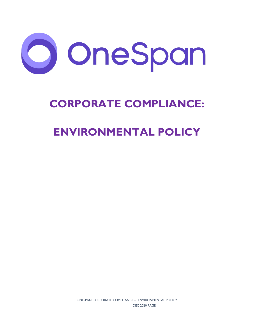

# **CORPORATE COMPLIANCE:**

## **ENVIRONMENTAL POLICY**

ONESPAN CORPORATE COMPLIANCE – ENVIRONMENTAL POLICY DEC 2020 PAGE |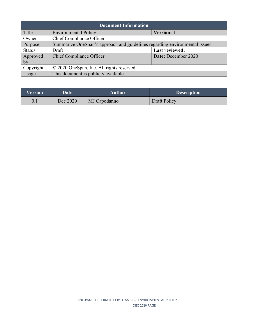| <b>Document Information</b> |                                                                             |                       |  |  |
|-----------------------------|-----------------------------------------------------------------------------|-----------------------|--|--|
| Title                       | <b>Environmental Policy</b>                                                 | Version: 1            |  |  |
| Owner                       | Chief Compliance Officer                                                    |                       |  |  |
| Purpose                     | Summarize OneSpan's approach and guidelines regarding environmental issues. |                       |  |  |
| <b>Status</b>               | Draft                                                                       | <b>Last reviewed:</b> |  |  |
| Approved                    | <b>Chief Compliance Officer</b>                                             | Date: December 2020   |  |  |
| by                          |                                                                             |                       |  |  |
| Copyright                   | © 2020 OneSpan, Inc. All rights reserved.                                   |                       |  |  |
| Usage                       | This document is publicly available                                         |                       |  |  |

| <b>Version</b> | <b>Date</b> | Author       | <b>Description</b> |
|----------------|-------------|--------------|--------------------|
| 0.1            | Dec 2020    | MJ Capodanno | Draft Policy       |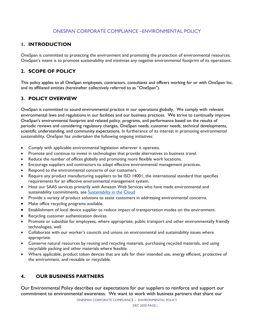#### ONESPAN CORPORATE COMPLIANCE –ENVIRONMENTAL POLICY

### **1. INTRODUCTION**

OneSpan is committed to protecting the environment and promoting the protection of environmental resources. OneSpan's intent is to promote sustainability and minimize any negative environmental footprint of its operations.

## **2. SCOPE OF POLICY**

This policy applies to all OneSpan employees, contractors, consultants and officers working for or with OneSpan Inc. and its affiliated entities (hereinafter collectively referred to as "OneSpan").

### **3. POLICY OVERVIEW**

OneSpan is committed to sound environmental practice in our operations globally. We comply with relevant environmental laws and regulations in our facilities and our business practices. We strive to continually improve OneSpan's environmental footprint and related policy, programs, and performance based on the results of periodic reviews and considering regulatory changes, OneSpan needs, customer needs, technical developments, scientific understanding, and community expectations. In furtherance of its interest in promoting environmental sustainability, OneSpan has undertaken the following ongoing initiatives:

- Comply with applicable environmental legislation wherever it operates.
- Promote and continue to invest in technologies that provide alternatives to business travel.
- Reduce the number of offices globally and promoting more flexible work locations.
- Encourage suppliers and contractors to adopt effective environmental management practices.
- Respond to the environmental concerns of our customers.
- Require any product manufacturing suppliers to be ISO 14001, the international standard that specifies requirements for an effective environmental management system.
- Host our SAAS services primarily with Amazon Web Services who have made environmental and sustainability commitments, see [Sustainabilty in the Cloud](https://sustainability.aboutamazon.com/environment/the-cloud?energyType=true)
- Provide a variety of product solutions to assist customers in addressing environmental concerns.
- Make office recycling programs available.
- Establishment of local device supplier to reduce impact of transportation modes on the environment.
- Recycling customer authentication devices
- Promote or subsidize for employees, where appropriate, public transport and other environmentally friendly technologies, well
- Collaborate with our worker's councils and unions on environmental and sustainability issues where appropriate.
- Conserve natural resources by reusing and recycling materials, purchasing recycled materials, and using recyclable packing and other materials where feasible.
- Where applicable, product token devices that are safe for their intended use, energy efficient, protective of the environment, and reusable or recyclable.

### **4. OUR BUSINESS PARTNERS**

Our Environmental Policy describes our expectations for our suppliers to reinforce and support our commitment to environmental awareness. We want to work with business partners that share our

ONESPAN CORPORATE COMPLIANCE – ENVIRONMENTAL POLICY